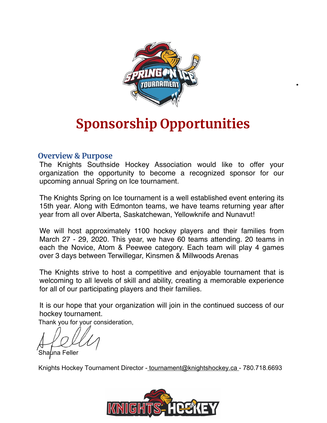

## **Sponsorship Opportunities**

#### **Overview & Purpose**

organization the opportunity to become a recognized sponsor for our  $\sim$ Hockey Tournament. The Knights Southside Hockey Association would like to offer your upcoming annual Spring on Ice tournament.

The Knights Spring on Ice tournament is a well established event entering its 15th year. Along with Edmonton teams, we have teams returning year after year from all over Alberta, Saskatchewan, Yellowknife and Nunavut!

We will host approximately 1000 hockey players and their families from March 29 - March 27 - 29, 2020. This year, we have 60 teams attending. 20 teams in  $M$ arch  $21$ , 2019. This year, we have 60 teams attending. 20 teams in each the Novice, Atom & Peewee category. Each team will play 4 games over 3 days between Terwillegar, Kinsmen & Millwoods Arenas. We will host approximately 1100 hockey players and their families from

The Knights strive to host a competitive and enjoyable tournament that is welcoming to all levels of skill and ability, creating a memorable experience for all of our participating players and their families.

It is our hope that your organization will join in the continued success of our hockey of our hockey of our hockey of our hockey of our hockey of our hockey of our hockey of our hockey of our hockey of our hockey of our h It is our hope that your organization will join in the continued success of our hockey tournament.

Thank you for your consideration,

Shauna Feller

Knights Hockey Tournament Director - [tournament@knightshockey.ca](mailto:tournament@knightshockey.ca) - 780.718.6693

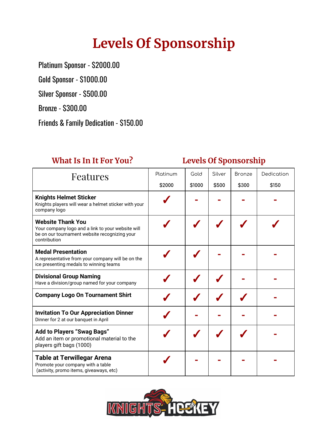# **Levels Of Sponsorship**

Platinum Sponsor - \$2000.00

Gold Sponsor - \$1000.00

Silver Sponsor - \$500.00

Bronze - \$300.00

Friends & Family Dedication - \$150.00

### **What Is In It For You? Levels Of Sponsorship**

| Features                                                                                                                                       | Platinum | Gold   | Silver | <b>Bronze</b> | Dedication |
|------------------------------------------------------------------------------------------------------------------------------------------------|----------|--------|--------|---------------|------------|
|                                                                                                                                                | \$2000   | \$1000 | \$500  | \$300         | \$150      |
| <b>Knights Helmet Sticker</b><br>Knights players will wear a helmet sticker with your<br>company logo                                          |          |        |        |               |            |
| <b>Website Thank You</b><br>Your company logo and a link to your website will<br>be on our tournament website recognizing your<br>contribution |          |        |        |               |            |
| <b>Medal Presentation</b><br>A representative from your company will be on the<br>ice presenting medals to winning teams                       |          |        |        |               |            |
| <b>Divisional Group Naming</b><br>Have a division/group named for your company                                                                 |          |        |        |               |            |
| <b>Company Logo On Tournament Shirt</b>                                                                                                        |          |        |        |               |            |
| <b>Invitation To Our Appreciation Dinner</b><br>Dinner for 2 at our banquet in April                                                           |          |        |        |               |            |
| <b>Add to Players "Swag Bags"</b><br>Add an item or promotional material to the<br>players gift bags (1000)                                    |          |        |        |               |            |
| <b>Table at Terwillegar Arena</b><br>Promote your company with a table<br>(activity, promo items, giveaways, etc)                              |          |        |        |               |            |